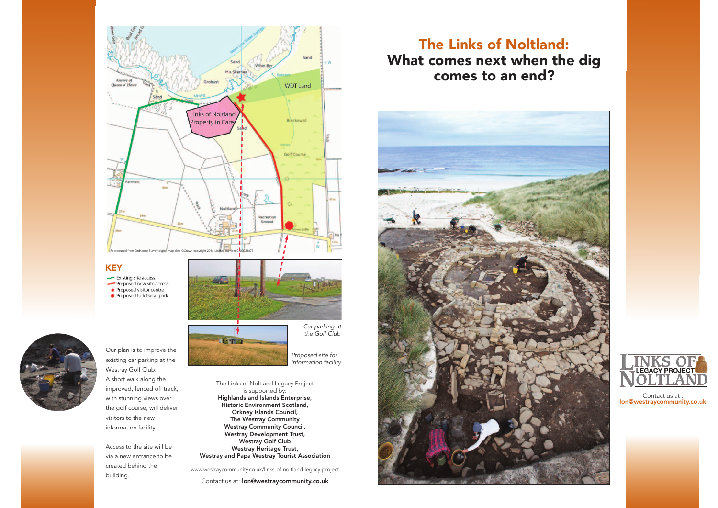# The Links of Noltland: What comes next when the dig comes to an end?





*Car parking at*

*the Golf Club*

Our plan is to improve the existing car parking at the Westray Golf Club. A short walk along the improved, fenced off track, with stunning views over the golf course, will deliver visitors to the new information facility.

Access to the site will be via a new entrance to be created behind the building.



The Links of Noltland Legacy Project is supported by: Highlands and Islands Enterprise, Historic Environment Scotland, Orkney Islands Council, The Westray Community Westray Community Council, Westray Development Trust, Westray Golf Club Westray Heritage Trust, Westray and Papa Westray Tourist Association

www.westraycommunity.co.uk/links-of-noltland-legacy-project

Contact us at: lon@westraycommunity.co.uk

*Proposed site for information facility*

> Contact us at : lon@westraycommunity.co.uk





## **KEY**

- Existing site access Proposed new site access ← Proposed visitor centre
- Proposed toilets/car park